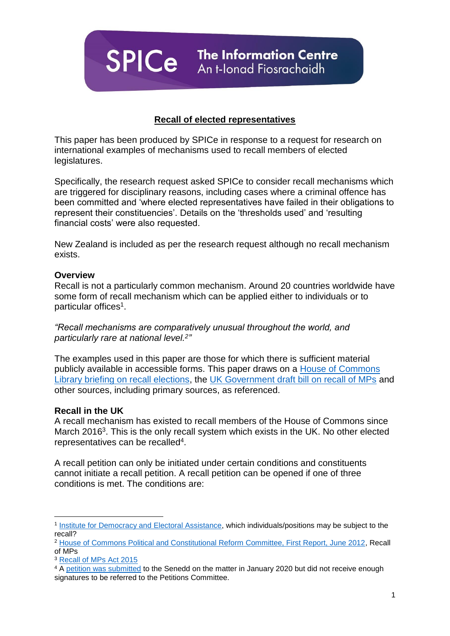**SPICe** The Information Centre

# **Recall of elected representatives**

This paper has been produced by SPICe in response to a request for research on international examples of mechanisms used to recall members of elected legislatures.

Specifically, the research request asked SPICe to consider recall mechanisms which are triggered for disciplinary reasons, including cases where a criminal offence has been committed and 'where elected representatives have failed in their obligations to represent their constituencies'. Details on the 'thresholds used' and 'resulting financial costs' were also requested.

New Zealand is included as per the research request although no recall mechanism exists.

#### **Overview**

Recall is not a particularly common mechanism. Around 20 countries worldwide have some form of recall mechanism which can be applied either to individuals or to particular offices<sup>1</sup>.

*"Recall mechanisms are comparatively unusual throughout the world, and particularly rare at national level.<sup>2</sup> "*

The examples used in this paper are those for which there is sufficient material publicly available in accessible forms. This paper draws on a [House of Commons](https://commonslibrary.parliament.uk/research-briefings/sn05089/)  [Library briefing on recall elections,](https://commonslibrary.parliament.uk/research-briefings/sn05089/) the [UK Government draft bill on recall of MPs](https://www.gov.uk/government/publications/recall-of-mps-draft-bill) and other sources, including primary sources, as referenced.

#### **Recall in the UK**

A recall mechanism has existed to recall members of the House of Commons since March 2016<sup>3</sup>. This is the only recall system which exists in the UK. No other elected representatives can be recalled<sup>4</sup>.

A recall petition can only be initiated under certain conditions and constituents cannot initiate a recall petition. A recall petition can be opened if one of three conditions is met. The conditions are:

**<sup>.</sup>** <sup>1</sup> [Institute for Democracy and Electoral Assistance,](https://www.idea.int/data-tools/question-view/618) which individuals/positions may be subject to the recall?

<sup>2</sup> [House of Commons Political and Constitutional Reform Committee, First Report, June 2012,](https://publications.parliament.uk/pa/cm201213/cmselect/cmpolcon/373/37302.htm) Recall of MPs

<sup>3</sup> [Recall of MPs Act 2015](https://www.legislation.gov.uk/ukpga/2015/25/contents/2015-03-26?section-18-1-a)

<sup>&</sup>lt;sup>4</sup> A [petition was submitted](https://petitions.senedd.wales/petitions/1705) to the Senedd on the matter in January 2020 but did not receive enough signatures to be referred to the Petitions Committee.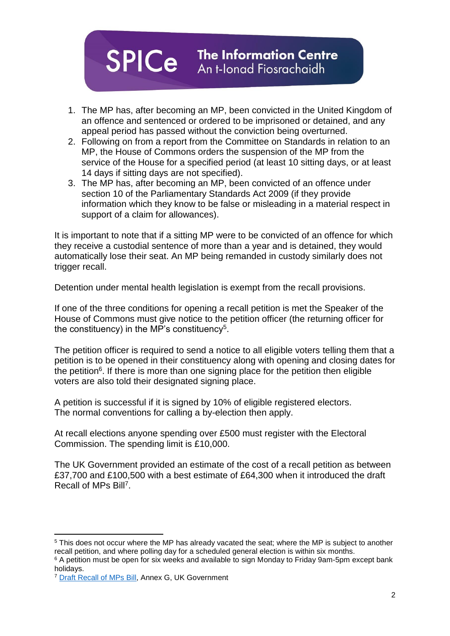

- 1. The MP has, after becoming an MP, been convicted in the United Kingdom of an offence and sentenced or ordered to be imprisoned or detained, and any appeal period has passed without the conviction being overturned.
- 2. Following on from a report from the Committee on Standards in relation to an MP, the House of Commons orders the suspension of the MP from the service of the House for a specified period (at least 10 sitting days, or at least 14 days if sitting days are not specified).
- 3. The MP has, after becoming an MP, been convicted of an offence under section 10 of the Parliamentary Standards Act 2009 (if they provide information which they know to be false or misleading in a material respect in support of a claim for allowances).

It is important to note that if a sitting MP were to be convicted of an offence for which they receive a custodial sentence of more than a year and is detained, they would automatically lose their seat. An MP being remanded in custody similarly does not trigger recall.

Detention under mental health legislation is exempt from the recall provisions.

If one of the three conditions for opening a recall petition is met the Speaker of the House of Commons must give notice to the petition officer (the returning officer for the constituency) in the MP's constituency<sup>5</sup>.

The petition officer is required to send a notice to all eligible voters telling them that a petition is to be opened in their constituency along with opening and closing dates for the petition<sup>6</sup>. If there is more than one signing place for the petition then eligible voters are also told their designated signing place.

A petition is successful if it is signed by 10% of eligible registered electors. The normal conventions for calling a by-election then apply.

At recall elections anyone spending over £500 must register with the Electoral Commission. The spending limit is £10,000.

The UK Government provided an estimate of the cost of a recall petition as between £37,700 and £100,500 with a best estimate of £64,300 when it introduced the draft Recall of MPs Bill<sup>7</sup>.

<sup>1</sup> <sup>5</sup> This does not occur where the MP has already vacated the seat; where the MP is subject to another recall petition, and where polling day for a scheduled general election is within six months.

<sup>6</sup> A petition must be open for six weeks and available to sign Monday to Friday 9am-5pm except bank holidays.

<sup>&</sup>lt;sup>7</sup> [Draft Recall of MPs Bill,](https://assets.publishing.service.gov.uk/government/uploads/system/uploads/attachment_data/file/62227/Recall_of_MPs_Draft_Bill.pdf) Annex G, UK Government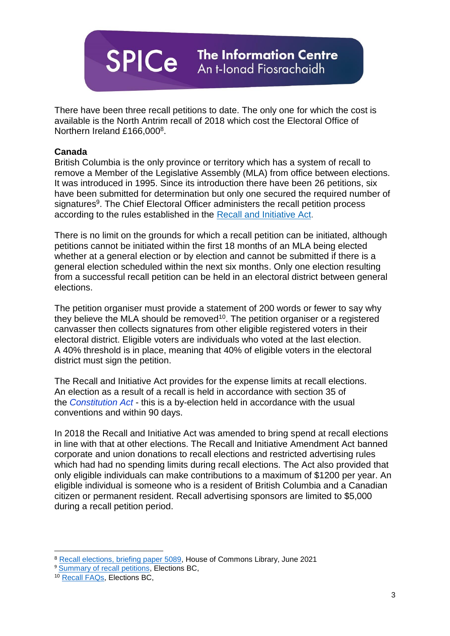

There have been three recall petitions to date. The only one for which the cost is available is the North Antrim recall of 2018 which cost the Electoral Office of Northern Ireland £166,0008.

#### **Canada**

British Columbia is the only province or territory which has a system of recall to remove a Member of the Legislative Assembly (MLA) from office between elections. It was introduced in 1995. Since its introduction there have been 26 petitions, six have been submitted for determination but only one secured the required number of signatures<sup>9</sup>. The Chief Electoral Officer administers the recall petition process according to the rules established in the Recall and [Initiative](http://www.bclaws.ca/EPLibraries/bclaws_new/document/ID/freeside/96398_00) Act.

There is no limit on the grounds for which a recall petition can be initiated, although petitions cannot be initiated within the first 18 months of an MLA being elected whether at a general election or by election and cannot be submitted if there is a general election scheduled within the next six months. Only one election resulting from a successful recall petition can be held in an electoral district between general elections.

The petition organiser must provide a statement of 200 words or fewer to say why they believe the MLA should be removed<sup>10</sup>. The petition organiser or a registered canvasser then collects signatures from other eligible registered voters in their electoral district. Eligible voters are individuals who voted at the last election. A 40% threshold is in place, meaning that 40% of eligible voters in the electoral district must sign the petition.

The Recall and Initiative Act provides for the expense limits at recall elections. An election as a result of a recall is held in accordance with section 35 of the *[Constitution Act](https://www.bclaws.gov.bc.ca/civix/document/id/complete/statreg/96066_01)* - this is a by-election held in accordance with the usual conventions and within 90 days.

In 2018 the Recall and Initiative Act was amended to bring spend at recall elections in line with that at other elections. The Recall and Initiative Amendment Act banned corporate and union donations to recall elections and restricted advertising rules which had had no spending limits during recall elections. The Act also provided that only eligible individuals can make contributions to a maximum of \$1200 per year. An eligible individual is someone who is a resident of British Columbia and a Canadian citizen or permanent resident. Recall advertising sponsors are limited to \$5,000 during a recall petition period.

**.** 

<sup>8</sup> [Recall elections, briefing paper 5089,](https://researchbriefings.files.parliament.uk/documents/SN05089/SN05089.pdf) House of Commons Library, June 2021

<sup>&</sup>lt;sup>9</sup> [Summary of recall petitions,](https://elections.bc.ca/docs/rcl/Summary-of-Recall-Petitions.pdf) Elections BC,

<sup>10</sup> [Recall FAQs,](https://elections.bc.ca/recall-initiative/recall/recall-faqs/) Elections BC,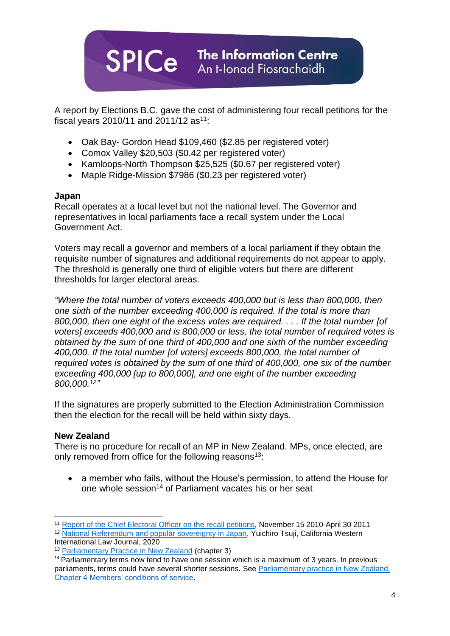

A report by Elections B.C. gave the cost of administering four recall petitions for the fiscal years 2010/11 and 2011/12  $as<sup>11</sup>$ :

- Oak Bay- Gordon Head \$109,460 (\$2.85 per registered voter)
- Comox Valley \$20,503 (\$0.42 per registered voter)
- Kamloops-North Thompson \$25,525 (\$0.67 per registered voter)
- Maple Ridge-Mission \$7986 (\$0.23 per registered voter)

## **Japan**

Recall operates at a local level but not the national level. The Governor and representatives in local parliaments face a recall system under the Local Government Act.

Voters may recall a governor and members of a local parliament if they obtain the requisite number of signatures and additional requirements do not appear to apply. The threshold is generally one third of eligible voters but there are different thresholds for larger electoral areas.

*"Where the total number of voters exceeds 400,000 but is less than 800,000, then one sixth of the number exceeding 400,000 is required. If the total is more than 800,000, then one eight of the excess votes are required. . . . If the total number [of voters] exceeds 400,000 and is 800,000 or less, the total number of required votes is obtained by the sum of one third of 400,000 and one sixth of the number exceeding 400,000. If the total number [of voters] exceeds 800,000, the total number of required votes is obtained by the sum of one third of 400,000, one six of the number exceeding 400,000 [up to 800,000], and one eight of the number exceeding 800,000.<sup>12</sup> "*

If the signatures are properly submitted to the Election Administration Commission then the election for the recall will be held within sixty days.

## **New Zealand**

There is no procedure for recall of an MP in New Zealand. MPs, once elected, are only removed from office for the following reasons<sup>13</sup>:

• a member who fails, without the House's permission, to attend the House for one whole session<sup>14</sup> of Parliament vacates his or her seat

**<sup>.</sup>** <sup>11</sup> [Report of the Chief Electoral Officer on the recall petitions,](https://elections.bc.ca/docs/rpt/2011-CEO-Recall-Report.pdf) November 15 2010-April 30 2011

<sup>12</sup> [National Referendum and popular sovereignty in Japan,](https://scholarlycommons.law.cwsl.edu/cgi/viewcontent.cgi?article=1568&context=cwilj) Yuichiro Tsuji, California Western International Law Journal, 2020

<sup>13</sup> [Parliamentary Practice in New Zealand](https://www.parliament.nz/en/visit-and-learn/how-parliament-works/parliamentary-practice-in-new-zealand/) (chapter 3)

 $14$  Parliamentary terms now tend to have one session which is a maximum of 3 years. In previous parliaments, terms could have several shorter sessions. See [Parliamentary practice in New Zealand,](https://www.parliament.nz/en/visit-and-learn/how-parliament-works/parliamentary-practice-in-new-zealand/chapter-4-members-conditions-of-service/#_ftn86)  [Chapter 4 Members' conditions of service.](https://www.parliament.nz/en/visit-and-learn/how-parliament-works/parliamentary-practice-in-new-zealand/chapter-4-members-conditions-of-service/#_ftn86)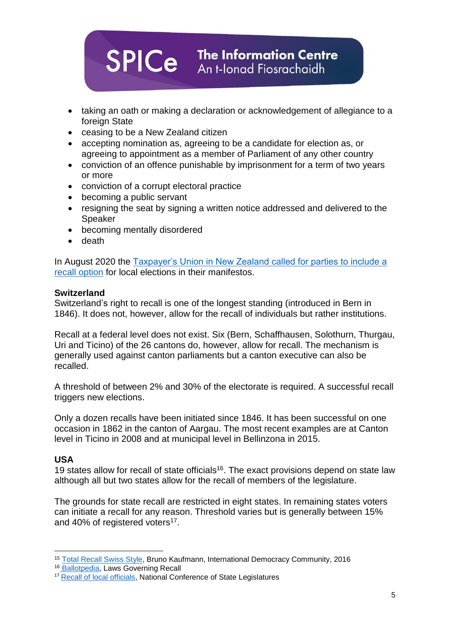

- taking an oath or making a declaration or acknowledgement of allegiance to a foreign State
- ceasing to be a New Zealand citizen
- accepting nomination as, agreeing to be a candidate for election as, or agreeing to appointment as a member of Parliament of any other country
- conviction of an offence punishable by imprisonment for a term of two years or more
- conviction of a corrupt electoral practice
- becoming a public servant
- resigning the seat by signing a written notice addressed and delivered to the Speaker
- becoming mentally disordered
- death

In August 2020 the Taxpayer's Union in New Zealand called for parties to include a [recall option](https://www.taxpayers.org.nz/recall_paper) for local elections in their manifestos.

## **Switzerland**

Switzerland's right to recall is one of the longest standing (introduced in Bern in 1846). It does not, however, allow for the recall of individuals but rather institutions.

Recall at a federal level does not exist. Six (Bern, Schaffhausen, Solothurn, Thurgau, Uri and Ticino) of the 26 cantons do, however, allow for recall. The mechanism is generally used against canton parliaments but a canton executive can also be recalled.

A threshold of between 2% and 30% of the electorate is required. A successful recall triggers new elections.

Only a dozen recalls have been initiated since 1846. It has been successful on one occasion in 1862 in the canton of Aargau. The most recent examples are at Canton level in Ticino in 2008 and at municipal level in Bellinzona in 2015.

## **USA**

**.** 

19 states allow for recall of state officials<sup>16</sup>. The exact provisions depend on state law although all but two states allow for the recall of members of the legislature.

The grounds for state recall are restricted in eight states. In remaining states voters can initiate a recall for any reason. Threshold varies but is generally between 15% and 40% of registered voters<sup>17</sup>.

<sup>15</sup> [Total Recall Swiss Style,](https://www.democracy.community/stories/total-recall-swiss-style) Bruno Kaufmann, International Democracy Community, 2016

<sup>16</sup> [Ballotpedia,](https://ballotpedia.org/Laws_governing_recall) Laws Governing Recall

<sup>&</sup>lt;sup>17</sup> [Recall of local officials,](https://www.ncsl.org/research/elections-and-campaigns/recall-of-local-officials.aspx) National Conference of State Legislatures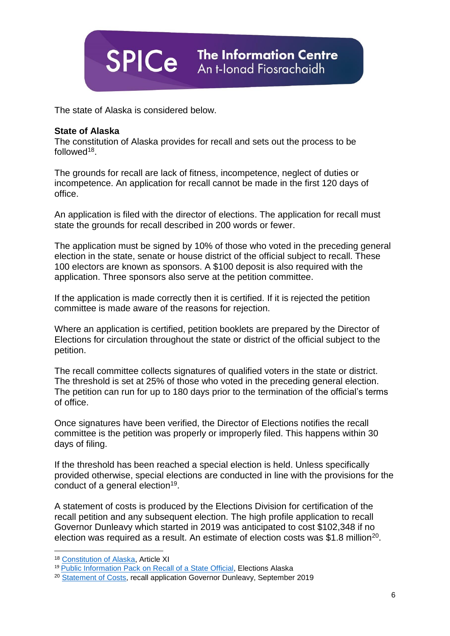

The state of Alaska is considered below.

#### **State of Alaska**

The constitution of Alaska provides for recall and sets out the process to be followed<sup>18</sup>.

The grounds for recall are lack of fitness, incompetence, neglect of duties or incompetence. An application for recall cannot be made in the first 120 days of office.

An application is filed with the director of elections. The application for recall must state the grounds for recall described in 200 words or fewer.

The application must be signed by 10% of those who voted in the preceding general election in the state, senate or house district of the official subject to recall. These 100 electors are known as sponsors. A \$100 deposit is also required with the application. Three sponsors also serve at the petition committee.

If the application is made correctly then it is certified. If it is rejected the petition committee is made aware of the reasons for rejection.

Where an application is certified, petition booklets are prepared by the Director of Elections for circulation throughout the state or district of the official subject to the petition.

The recall committee collects signatures of qualified voters in the state or district. The threshold is set at 25% of those who voted in the preceding general election. The petition can run for up to 180 days prior to the termination of the official's terms of office.

Once signatures have been verified, the Director of Elections notifies the recall committee is the petition was properly or improperly filed. This happens within 30 days of filing.

If the threshold has been reached a special election is held. Unless specifically provided otherwise, special elections are conducted in line with the provisions for the conduct of a general election<sup>19</sup>.

A statement of costs is produced by the Elections Division for certification of the recall petition and any subsequent election. The high profile application to recall Governor Dunleavy which started in 2019 was anticipated to cost \$102,348 if no election was required as a result. An estimate of election costs was \$1.8 million<sup>20</sup>.

**.** 

<sup>18</sup> [Constitution of Alaska,](https://ltgov.alaska.gov/information/alaskas-constitution/) Article XI

<sup>&</sup>lt;sup>19</sup> [Public Information Pack on Recall of a State Official,](https://www.elections.alaska.gov/doc/forms/H31.pdf) Elections Alaska

<sup>&</sup>lt;sup>20</sup> [Statement of Costs,](https://www.elections.alaska.gov/doc/petitions/Recall%20Statement%20of%20Costs.pdf) recall application Governor Dunleavy, September 2019